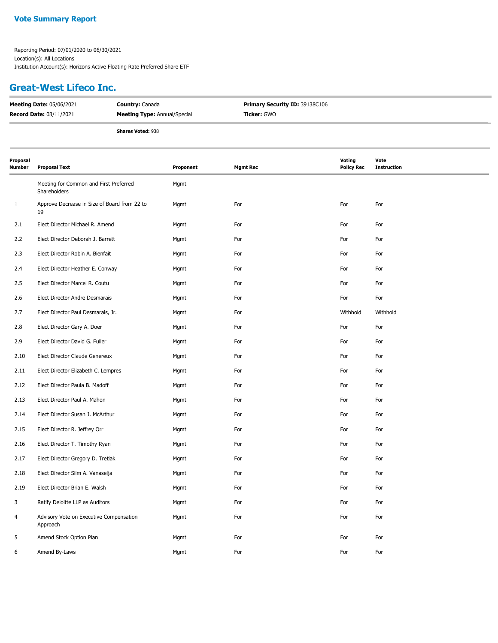#### **Vote Summary Report**

Reporting Period: 07/01/2020 to 06/30/2021 Location(s): All Locations Institution Account(s): Horizons Active Floating Rate Preferred Share ETF

### **Great-West Lifeco Inc.**

| <b>Meeting Date: 05/06/2021</b> | <b>Country: Canada</b>              | <b>Primary Security ID: 39138C106</b> |
|---------------------------------|-------------------------------------|---------------------------------------|
| <b>Record Date: 03/11/2021</b>  | <b>Meeting Type:</b> Annual/Special | Ticker: GWO                           |
|                                 | <b>Shares Voted: 938</b>            |                                       |

| Proposal<br>Number | <b>Proposal Text</b>                                   | Proponent | <b>Mgmt Rec</b> | <b>Voting</b><br><b>Policy Rec</b> | Vote<br><b>Instruction</b> |
|--------------------|--------------------------------------------------------|-----------|-----------------|------------------------------------|----------------------------|
|                    | Meeting for Common and First Preferred<br>Shareholders | Mgmt      |                 |                                    |                            |
| $\mathbf{1}$       | Approve Decrease in Size of Board from 22 to<br>19     | Mgmt      | For             | For                                | For                        |
| 2.1                | Elect Director Michael R. Amend                        | Mgmt      | For             | For                                | For                        |
| 2.2                | Elect Director Deborah J. Barrett                      | Mgmt      | For             | For                                | For                        |
| 2.3                | Elect Director Robin A. Bienfait                       | Mgmt      | For             | For                                | For                        |
| 2.4                | Elect Director Heather E. Conway                       | Mgmt      | For             | For                                | For                        |
| 2.5                | Elect Director Marcel R. Coutu                         | Mgmt      | For             | For                                | For                        |
| 2.6                | Elect Director Andre Desmarais                         | Mgmt      | For             | For                                | For                        |
| 2.7                | Elect Director Paul Desmarais, Jr.                     | Mgmt      | For             | Withhold                           | Withhold                   |
| 2.8                | Elect Director Gary A. Doer                            | Mgmt      | For             | For                                | For                        |
| 2.9                | Elect Director David G. Fuller                         | Mgmt      | For             | For                                | For                        |
| 2.10               | Elect Director Claude Genereux                         | Mgmt      | For             | For                                | For                        |
| 2.11               | Elect Director Elizabeth C. Lempres                    | Mgmt      | For             | For                                | For                        |
| 2.12               | Elect Director Paula B. Madoff                         | Mgmt      | For             | For                                | For                        |
| 2.13               | Elect Director Paul A. Mahon                           | Mgmt      | For             | For                                | For                        |
| 2.14               | Elect Director Susan J. McArthur                       | Mgmt      | For             | For                                | For                        |
| 2.15               | Elect Director R. Jeffrey Orr                          | Mgmt      | For             | For                                | For                        |
| 2.16               | Elect Director T. Timothy Ryan                         | Mgmt      | For             | For                                | For                        |
| 2.17               | Elect Director Gregory D. Tretiak                      | Mgmt      | For             | For                                | For                        |
| 2.18               | Elect Director Siim A. Vanaselja                       | Mgmt      | For             | For                                | For                        |
| 2.19               | Elect Director Brian E. Walsh                          | Mgmt      | For             | For                                | For                        |
| 3                  | Ratify Deloitte LLP as Auditors                        | Mgmt      | For             | For                                | For                        |
| 4                  | Advisory Vote on Executive Compensation<br>Approach    | Mgmt      | For             | For                                | For                        |
| 5                  | Amend Stock Option Plan                                | Mgmt      | For             | For                                | For                        |
| 6                  | Amend By-Laws                                          | Mgmt      | For             | For                                | For                        |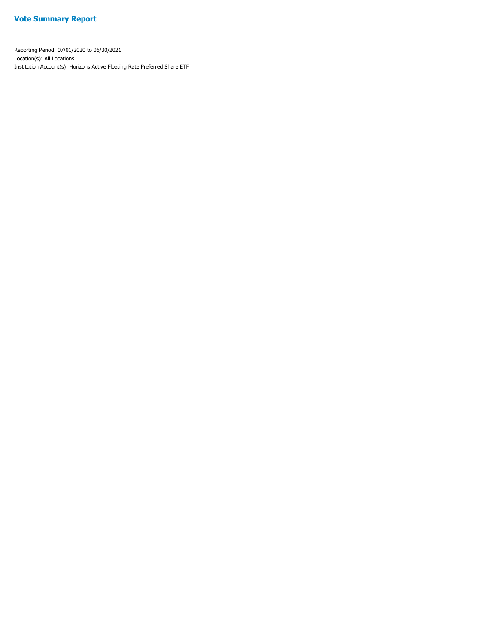#### **Vote Summary Report**

Reporting Period: 07/01/2020 to 06/30/2021 Location(s): All Locations Institution Account(s): Horizons Active Floating Rate Preferred Share ETF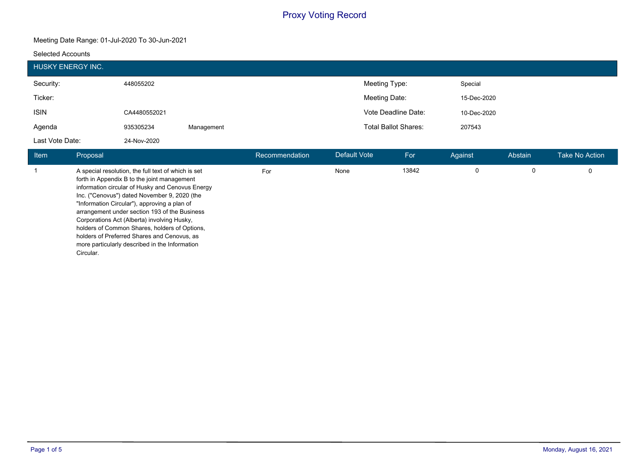#### **Meeting Date Range: 01-Jul-2020 To 30-Jun-2021**

#### **Selected Accounts**

|                 | HUSKY ENERGY INC.                                                                                                                                                                                                                                                                                                                                                                                                                                                                                                     |             |             |                |                     |                             |             |         |                |
|-----------------|-----------------------------------------------------------------------------------------------------------------------------------------------------------------------------------------------------------------------------------------------------------------------------------------------------------------------------------------------------------------------------------------------------------------------------------------------------------------------------------------------------------------------|-------------|-------------|----------------|---------------------|-----------------------------|-------------|---------|----------------|
| Security:       |                                                                                                                                                                                                                                                                                                                                                                                                                                                                                                                       | 448055202   |             |                | Meeting Type:       |                             | Special     |         |                |
| Ticker:         |                                                                                                                                                                                                                                                                                                                                                                                                                                                                                                                       |             |             |                | Meeting Date:       |                             | 15-Dec-2020 |         |                |
| <b>ISIN</b>     | Vote Deadline Date:<br>CA4480552021                                                                                                                                                                                                                                                                                                                                                                                                                                                                                   |             | 10-Dec-2020 |                |                     |                             |             |         |                |
| Agenda          |                                                                                                                                                                                                                                                                                                                                                                                                                                                                                                                       | 935305234   | Management  |                |                     | <b>Total Ballot Shares:</b> |             |         |                |
| Last Vote Date: |                                                                                                                                                                                                                                                                                                                                                                                                                                                                                                                       | 24-Nov-2020 |             |                |                     |                             |             |         |                |
| Item            | Proposal                                                                                                                                                                                                                                                                                                                                                                                                                                                                                                              |             |             | Recommendation | <b>Default Vote</b> | For                         | Against     | Abstain | Take No Action |
|                 | A special resolution, the full text of which is set<br>forth in Appendix B to the joint management<br>information circular of Husky and Cenovus Energy<br>Inc. ("Cenovus") dated November 9, 2020 (the<br>"Information Circular"), approving a plan of<br>arrangement under section 193 of the Business<br>Corporations Act (Alberta) involving Husky,<br>holders of Common Shares, holders of Options,<br>holders of Preferred Shares and Cenovus, as<br>more particularly described in the Information<br>Circular. |             | For         | None           | 13842               | 0                           | 0           | 0       |                |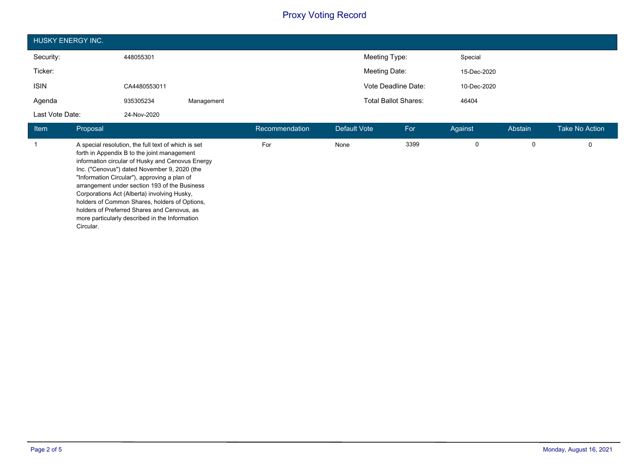| HUSKY ENERGY INC. |              |            |                             |             |  |  |  |
|-------------------|--------------|------------|-----------------------------|-------------|--|--|--|
| Security:         | 448055301    |            | Meeting Type:               | Special     |  |  |  |
| Ticker:           |              |            | Meeting Date:               | 15-Dec-2020 |  |  |  |
| <b>ISIN</b>       | CA4480553011 |            | Vote Deadline Date:         | 10-Dec-2020 |  |  |  |
| Agenda            | 935305234    | Management | <b>Total Ballot Shares:</b> | 46404       |  |  |  |
| Last Vote Date:   | 24-Nov-2020  |            |                             |             |  |  |  |

| <b>Item</b> | Proposal                                                                                                                                                                                                                                                                                                                                                                                                                                                                                                              | Recommendation | Default Vote | For  | Against | Abstain | <b>Take No Action</b> |
|-------------|-----------------------------------------------------------------------------------------------------------------------------------------------------------------------------------------------------------------------------------------------------------------------------------------------------------------------------------------------------------------------------------------------------------------------------------------------------------------------------------------------------------------------|----------------|--------------|------|---------|---------|-----------------------|
|             | A special resolution, the full text of which is set<br>forth in Appendix B to the joint management<br>information circular of Husky and Cenovus Energy<br>Inc. ("Cenovus") dated November 9, 2020 (the<br>"Information Circular"), approving a plan of<br>arrangement under section 193 of the Business<br>Corporations Act (Alberta) involving Husky,<br>holders of Common Shares, holders of Options,<br>holders of Preferred Shares and Cenovus, as<br>more particularly described in the Information<br>Circular. | For            | None         | 3399 | 0       | 0       | 0                     |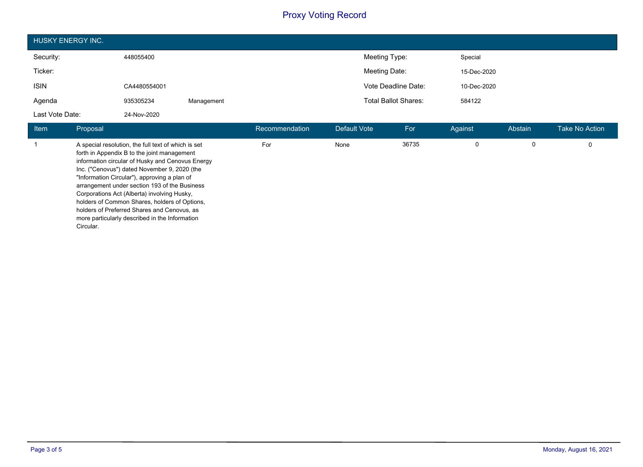| <b>HUSKY ENERGY INC.</b> |              |            |                             |             |  |  |  |
|--------------------------|--------------|------------|-----------------------------|-------------|--|--|--|
| Security:                | 448055400    |            | Meeting Type:               | Special     |  |  |  |
| Ticker:                  |              |            | Meeting Date:               | 15-Dec-2020 |  |  |  |
| <b>ISIN</b>              | CA4480554001 |            | Vote Deadline Date:         | 10-Dec-2020 |  |  |  |
| Agenda                   | 935305234    | Management | <b>Total Ballot Shares:</b> | 584122      |  |  |  |
| Last Vote Date:          | 24-Nov-2020  |            |                             |             |  |  |  |

| <b>Item</b> | Proposal                                                                                                                                                                                                                                                                                                                                                                                                                                                                                                              | Recommendation | Default Vote | For   | Against | Abstain | <b>Take No Action</b> |
|-------------|-----------------------------------------------------------------------------------------------------------------------------------------------------------------------------------------------------------------------------------------------------------------------------------------------------------------------------------------------------------------------------------------------------------------------------------------------------------------------------------------------------------------------|----------------|--------------|-------|---------|---------|-----------------------|
|             | A special resolution, the full text of which is set<br>forth in Appendix B to the joint management<br>information circular of Husky and Cenovus Energy<br>Inc. ("Cenovus") dated November 9, 2020 (the<br>"Information Circular"), approving a plan of<br>arrangement under section 193 of the Business<br>Corporations Act (Alberta) involving Husky,<br>holders of Common Shares, holders of Options,<br>holders of Preferred Shares and Cenovus, as<br>more particularly described in the Information<br>Circular. | For            | None         | 36735 |         |         |                       |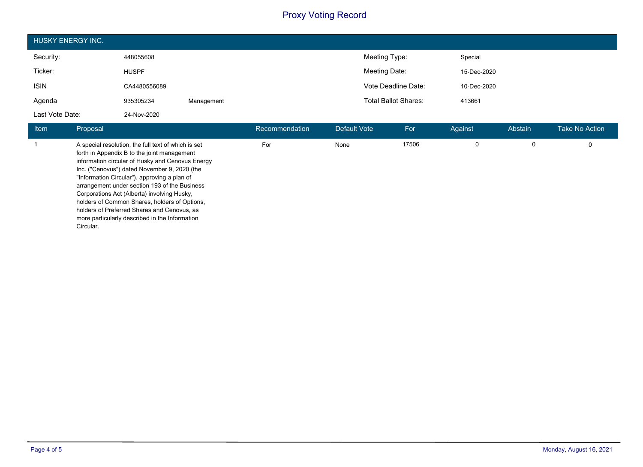| HUSKY ENERGY INC. |              |            |                             |             |  |  |  |
|-------------------|--------------|------------|-----------------------------|-------------|--|--|--|
| Security:         | 448055608    |            | Meeting Type:               | Special     |  |  |  |
| Ticker:           | <b>HUSPF</b> |            | Meeting Date:               | 15-Dec-2020 |  |  |  |
| <b>ISIN</b>       | CA4480556089 |            | Vote Deadline Date:         | 10-Dec-2020 |  |  |  |
| Agenda            | 935305234    | Management | <b>Total Ballot Shares:</b> | 413661      |  |  |  |
| Last Vote Date:   | 24-Nov-2020  |            |                             |             |  |  |  |

| <b>Item</b> | Proposal                                                                                                                                                                                                                                                                                                                                                                                                                                                                                                              | Recommendation | Default Vote | For   | Against | Abstain | <b>Take No Action</b> |
|-------------|-----------------------------------------------------------------------------------------------------------------------------------------------------------------------------------------------------------------------------------------------------------------------------------------------------------------------------------------------------------------------------------------------------------------------------------------------------------------------------------------------------------------------|----------------|--------------|-------|---------|---------|-----------------------|
|             | A special resolution, the full text of which is set<br>forth in Appendix B to the joint management<br>information circular of Husky and Cenovus Energy<br>Inc. ("Cenovus") dated November 9, 2020 (the<br>"Information Circular"), approving a plan of<br>arrangement under section 193 of the Business<br>Corporations Act (Alberta) involving Husky,<br>holders of Common Shares, holders of Options,<br>holders of Preferred Shares and Cenovus, as<br>more particularly described in the Information<br>Circular. | For            | None         | 17506 |         | 0       |                       |